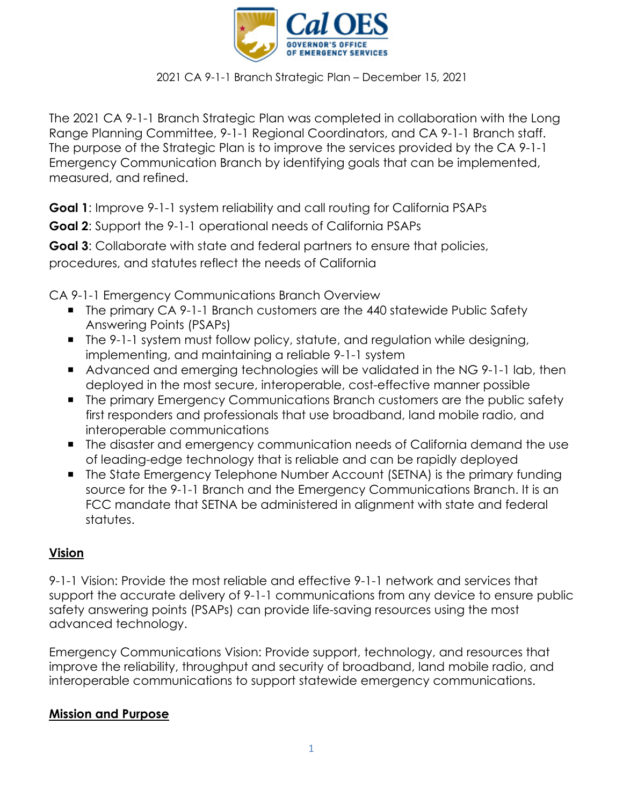

The 2021 CA 9-1-1 Branch Strategic Plan was completed in collaboration with the Long Range Planning Committee, 9-1-1 Regional Coordinators, and CA 9-1-1 Branch staff. The purpose of the Strategic Plan is to improve the services provided by the CA 9-1-1 Emergency Communication Branch by identifying goals that can be implemented, measured, and refined.

**Goal 1**: Improve 9-1-1 system reliability and call routing for California PSAPs

**Goal 2**: Support the 9-1-1 operational needs of California PSAPs

**Goal 3**: Collaborate with state and federal partners to ensure that policies, procedures, and statutes reflect the needs of California

CA 9-1-1 Emergency Communications Branch Overview

- The primary CA 9-1-1 Branch customers are the 440 statewide Public Safety Answering Points (PSAPs)
- The 9-1-1 system must follow policy, statute, and regulation while designing, implementing, and maintaining a reliable 9-1-1 system
- Advanced and emerging technologies will be validated in the NG 9-1-1 lab, then deployed in the most secure, interoperable, cost-effective manner possible
- **The primary Emergency Communications Branch customers are the public safety** first responders and professionals that use broadband, land mobile radio, and interoperable communications
- The disaster and emergency communication needs of California demand the use of leading-edge technology that is reliable and can be rapidly deployed
- The State Emergency Telephone Number Account (SETNA) is the primary funding source for the 9-1-1 Branch and the Emergency Communications Branch. It is an FCC mandate that SETNA be administered in alignment with state and federal statutes.

## **Vision**

9-1-1 Vision: Provide the most reliable and effective 9-1-1 network and services that support the accurate delivery of 9-1-1 communications from any device to ensure public safety answering points (PSAPs) can provide life-saving resources using the most advanced technology.

Emergency Communications Vision: Provide support, technology, and resources that improve the reliability, throughput and security of broadband, land mobile radio, and interoperable communications to support statewide emergency communications.

### **Mission and Purpose**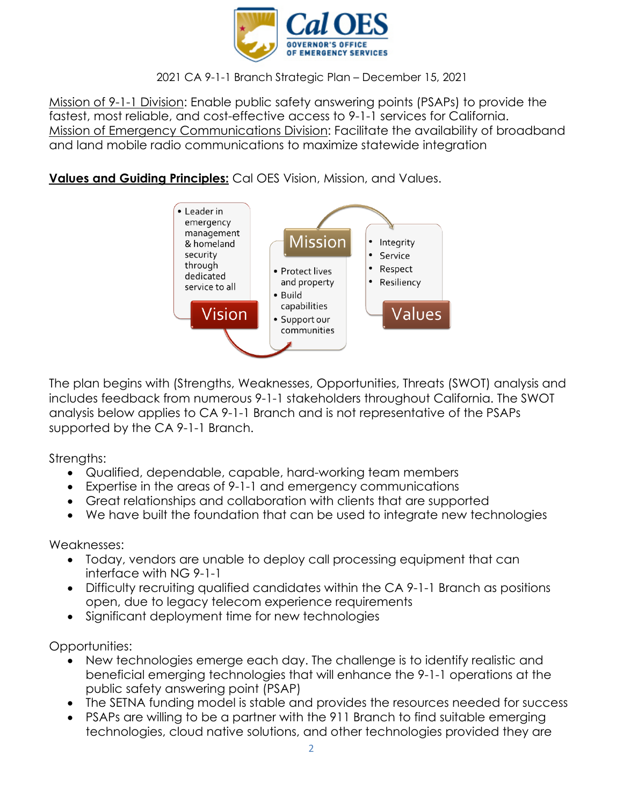

Mission of 9-1-1 Division: Enable public safety answering points (PSAPs) to provide the fastest, most reliable, and cost-effective access to 9-1-1 services for California. Mission of Emergency Communications Division: Facilitate the availability of broadband and land mobile radio communications to maximize statewide integration

### **Values and Guiding Principles:** Cal OES Vision, Mission, and Values.



The plan begins with (Strengths, Weaknesses, Opportunities, Threats (SWOT) analysis and includes feedback from numerous 9-1-1 stakeholders throughout California. The SWOT analysis below applies to CA 9-1-1 Branch and is not representative of the PSAPs supported by the CA 9-1-1 Branch.

Strengths:

- Qualified, dependable, capable, hard-working team members
- Expertise in the areas of 9-1-1 and emergency communications
- Great relationships and collaboration with clients that are supported
- We have built the foundation that can be used to integrate new technologies

Weaknesses:

- Today, vendors are unable to deploy call processing equipment that can interface with NG 9-1-1
- Difficulty recruiting qualified candidates within the CA 9-1-1 Branch as positions open, due to legacy telecom experience requirements
- Significant deployment time for new technologies

Opportunities:

- New technologies emerge each day. The challenge is to identify realistic and beneficial emerging technologies that will enhance the 9-1-1 operations at the public safety answering point (PSAP)
- The SETNA funding model is stable and provides the resources needed for success
- PSAPs are willing to be a partner with the 911 Branch to find suitable emerging technologies, cloud native solutions, and other technologies provided they are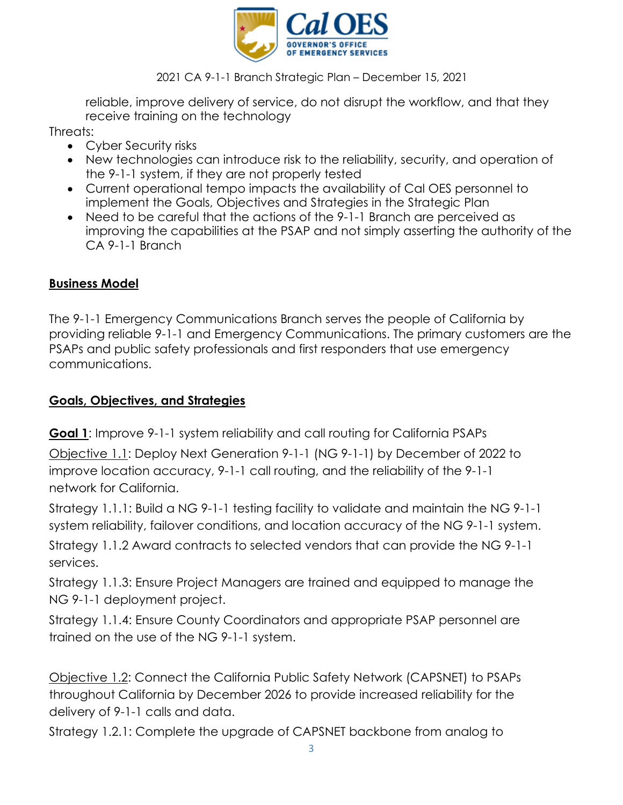

reliable, improve delivery of service, do not disrupt the workflow, and that they receive training on the technology

Threats:

- Cyber Security risks
- New technologies can introduce risk to the reliability, security, and operation of the 9-1-1 system, if they are not properly tested
- Current operational tempo impacts the availability of Cal OES personnel to implement the Goals, Objectives and Strategies in the Strategic Plan
- Need to be careful that the actions of the 9-1-1 Branch are perceived as improving the capabilities at the PSAP and not simply asserting the authority of the CA 9-1-1 Branch

## **Business Model**

The 9-1-1 Emergency Communications Branch serves the people of California by providing reliable 9-1-1 and Emergency Communications. The primary customers are the PSAPs and public safety professionals and first responders that use emergency communications.

## **Goals, Objectives, and Strategies**

**Goal 1**: Improve 9-1-1 system reliability and call routing for California PSAPs

Objective 1.1: Deploy Next Generation 9-1-1 (NG 9-1-1) by December of 2022 to improve location accuracy, 9-1-1 call routing, and the reliability of the 9-1-1 network for California.

Strategy 1.1.1: Build a NG 9-1-1 testing facility to validate and maintain the NG 9-1-1 system reliability, failover conditions, and location accuracy of the NG 9-1-1 system.

Strategy 1.1.2 Award contracts to selected vendors that can provide the NG 9-1-1 services.

Strategy 1.1.3: Ensure Project Managers are trained and equipped to manage the NG 9-1-1 deployment project.

Strategy 1.1.4: Ensure County Coordinators and appropriate PSAP personnel are trained on the use of the NG 9-1-1 system.

Objective 1.2: Connect the California Public Safety Network (CAPSNET) to PSAPs throughout California by December 2026 to provide increased reliability for the delivery of 9-1-1 calls and data.

Strategy 1.2.1: Complete the upgrade of CAPSNET backbone from analog to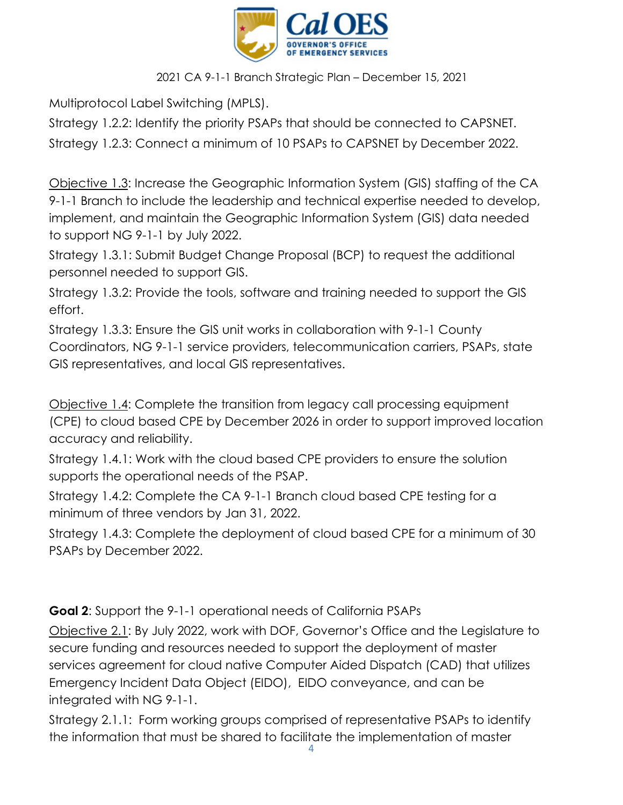

Multiprotocol Label Switching (MPLS).

Strategy 1.2.2: Identify the priority PSAPs that should be connected to CAPSNET. Strategy 1.2.3: Connect a minimum of 10 PSAPs to CAPSNET by December 2022.

Objective 1.3: Increase the Geographic Information System (GIS) staffing of the CA 9-1-1 Branch to include the leadership and technical expertise needed to develop, implement, and maintain the Geographic Information System (GIS) data needed to support NG 9-1-1 by July 2022.

Strategy 1.3.1: Submit Budget Change Proposal (BCP) to request the additional personnel needed to support GIS.

Strategy 1.3.2: Provide the tools, software and training needed to support the GIS effort.

Strategy 1.3.3: Ensure the GIS unit works in collaboration with 9-1-1 County Coordinators, NG 9-1-1 service providers, telecommunication carriers, PSAPs, state GIS representatives, and local GIS representatives.

Objective 1.4: Complete the transition from legacy call processing equipment (CPE) to cloud based CPE by December 2026 in order to support improved location accuracy and reliability.

Strategy 1.4.1: Work with the cloud based CPE providers to ensure the solution supports the operational needs of the PSAP.

Strategy 1.4.2: Complete the CA 9-1-1 Branch cloud based CPE testing for a minimum of three vendors by Jan 31, 2022.

Strategy 1.4.3: Complete the deployment of cloud based CPE for a minimum of 30 PSAPs by December 2022.

**Goal 2**: Support the 9-1-1 operational needs of California PSAPs

Objective 2.1: By July 2022, work with DOF, Governor's Office and the Legislature to secure funding and resources needed to support the deployment of master services agreement for cloud native Computer Aided Dispatch (CAD) that utilizes Emergency Incident Data Object (EIDO), EIDO conveyance, and can be integrated with NG 9-1-1.

Strategy 2.1.1: Form working groups comprised of representative PSAPs to identify the information that must be shared to facilitate the implementation of master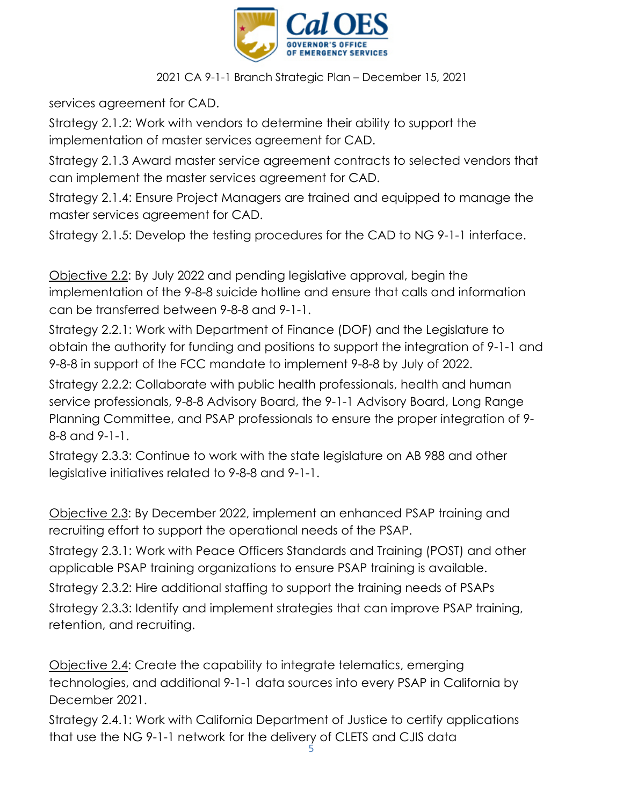

services agreement for CAD.

Strategy 2.1.2: Work with vendors to determine their ability to support the implementation of master services agreement for CAD.

Strategy 2.1.3 Award master service agreement contracts to selected vendors that can implement the master services agreement for CAD.

Strategy 2.1.4: Ensure Project Managers are trained and equipped to manage the master services agreement for CAD.

Strategy 2.1.5: Develop the testing procedures for the CAD to NG 9-1-1 interface.

Objective 2.2: By July 2022 and pending legislative approval, begin the implementation of the 9-8-8 suicide hotline and ensure that calls and information can be transferred between 9-8-8 and 9-1-1.

Strategy 2.2.1: Work with Department of Finance (DOF) and the Legislature to obtain the authority for funding and positions to support the integration of 9-1-1 and 9-8-8 in support of the FCC mandate to implement 9-8-8 by July of 2022.

Strategy 2.2.2: Collaborate with public health professionals, health and human service professionals, 9-8-8 Advisory Board, the 9-1-1 Advisory Board, Long Range Planning Committee, and PSAP professionals to ensure the proper integration of 9- 8-8 and 9-1-1.

Strategy 2.3.3: Continue to work with the state legislature on AB 988 and other legislative initiatives related to 9-8-8 and 9-1-1.

Objective 2.3: By December 2022, implement an enhanced PSAP training and recruiting effort to support the operational needs of the PSAP.

Strategy 2.3.1: Work with Peace Officers Standards and Training (POST) and other applicable PSAP training organizations to ensure PSAP training is available.

Strategy 2.3.2: Hire additional staffing to support the training needs of PSAPs Strategy 2.3.3: Identify and implement strategies that can improve PSAP training, retention, and recruiting.

Objective 2.4: Create the capability to integrate telematics, emerging technologies, and additional 9-1-1 data sources into every PSAP in California by December 2021.

Strategy 2.4.1: Work with California Department of Justice to certify applications that use the NG 9-1-1 network for the delivery of CLETS and CJIS data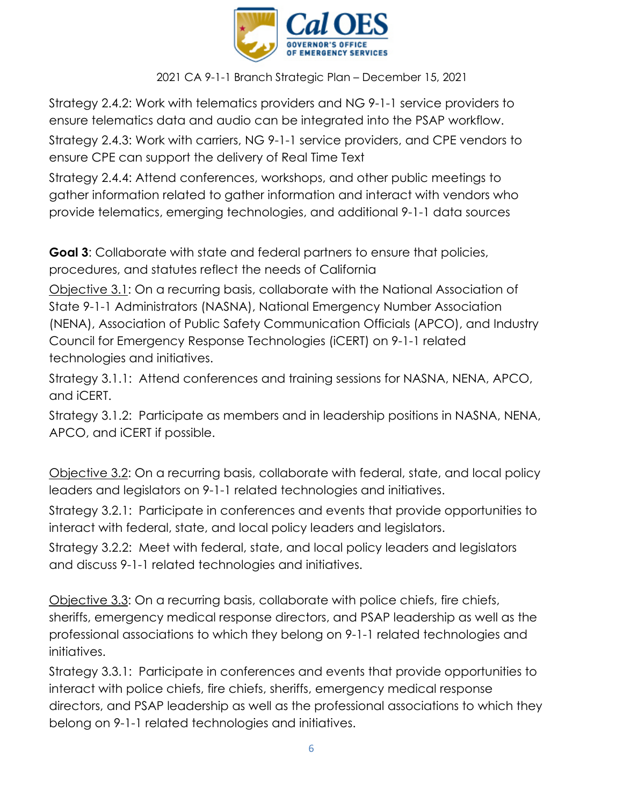

Strategy 2.4.2: Work with telematics providers and NG 9-1-1 service providers to ensure telematics data and audio can be integrated into the PSAP workflow. Strategy 2.4.3: Work with carriers, NG 9-1-1 service providers, and CPE vendors to ensure CPE can support the delivery of Real Time Text

Strategy 2.4.4: Attend conferences, workshops, and other public meetings to gather information related to gather information and interact with vendors who provide telematics, emerging technologies, and additional 9-1-1 data sources

**Goal 3**: Collaborate with state and federal partners to ensure that policies, procedures, and statutes reflect the needs of California

Objective 3.1: On a recurring basis, collaborate with the National Association of State 9-1-1 Administrators (NASNA), National Emergency Number Association (NENA), Association of Public Safety Communication Officials (APCO), and Industry Council for Emergency Response Technologies (iCERT) on 9-1-1 related technologies and initiatives.

Strategy 3.1.1: Attend conferences and training sessions for NASNA, NENA, APCO, and iCERT.

Strategy 3.1.2: Participate as members and in leadership positions in NASNA, NENA, APCO, and iCERT if possible.

Objective 3.2: On a recurring basis, collaborate with federal, state, and local policy leaders and legislators on 9-1-1 related technologies and initiatives.

Strategy 3.2.1: Participate in conferences and events that provide opportunities to interact with federal, state, and local policy leaders and legislators.

Strategy 3.2.2: Meet with federal, state, and local policy leaders and legislators and discuss 9-1-1 related technologies and initiatives.

Objective 3.3: On a recurring basis, collaborate with police chiefs, fire chiefs, sheriffs, emergency medical response directors, and PSAP leadership as well as the professional associations to which they belong on 9-1-1 related technologies and initiatives.

Strategy 3.3.1: Participate in conferences and events that provide opportunities to interact with police chiefs, fire chiefs, sheriffs, emergency medical response directors, and PSAP leadership as well as the professional associations to which they belong on 9-1-1 related technologies and initiatives.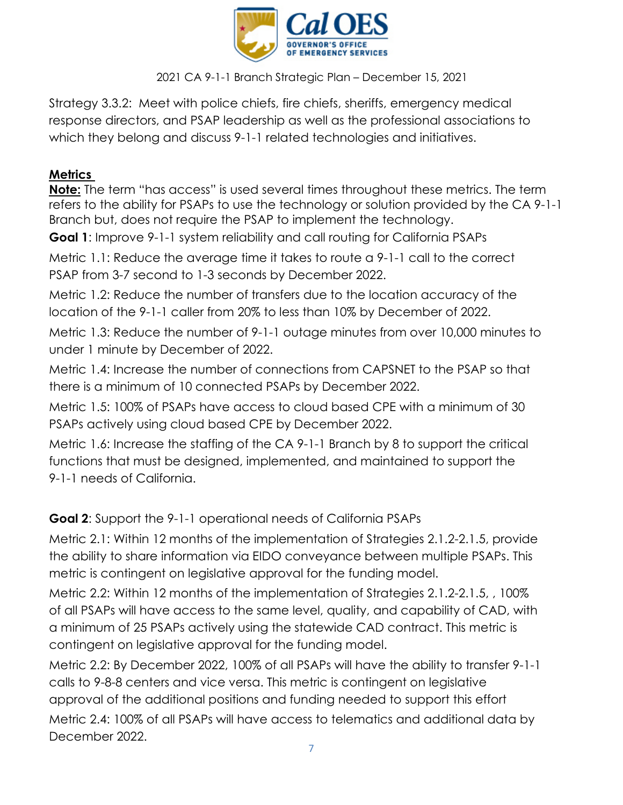

Strategy 3.3.2: Meet with police chiefs, fire chiefs, sheriffs, emergency medical response directors, and PSAP leadership as well as the professional associations to which they belong and discuss 9-1-1 related technologies and initiatives.

# **Metrics**

**Note:** The term "has access" is used several times throughout these metrics. The term refers to the ability for PSAPs to use the technology or solution provided by the CA 9-1-1 Branch but, does not require the PSAP to implement the technology.

**Goal 1**: Improve 9-1-1 system reliability and call routing for California PSAPs

Metric 1.1: Reduce the average time it takes to route a 9-1-1 call to the correct PSAP from 3-7 second to 1-3 seconds by December 2022.

Metric 1.2: Reduce the number of transfers due to the location accuracy of the location of the 9-1-1 caller from 20% to less than 10% by December of 2022.

Metric 1.3: Reduce the number of 9-1-1 outage minutes from over 10,000 minutes to under 1 minute by December of 2022.

Metric 1.4: Increase the number of connections from CAPSNET to the PSAP so that there is a minimum of 10 connected PSAPs by December 2022.

Metric 1.5: 100% of PSAPs have access to cloud based CPE with a minimum of 30 PSAPs actively using cloud based CPE by December 2022.

Metric 1.6: Increase the staffing of the CA 9-1-1 Branch by 8 to support the critical functions that must be designed, implemented, and maintained to support the 9-1-1 needs of California.

**Goal 2**: Support the 9-1-1 operational needs of California PSAPs

Metric 2.1: Within 12 months of the implementation of Strategies 2.1.2-2.1.5, provide the ability to share information via EIDO conveyance between multiple PSAPs. This metric is contingent on legislative approval for the funding model.

Metric 2.2: Within 12 months of the implementation of Strategies 2.1.2-2.1.5, , 100% of all PSAPs will have access to the same level, quality, and capability of CAD, with a minimum of 25 PSAPs actively using the statewide CAD contract. This metric is contingent on legislative approval for the funding model.

Metric 2.2: By December 2022, 100% of all PSAPs will have the ability to transfer 9-1-1 calls to 9-8-8 centers and vice versa. This metric is contingent on legislative approval of the additional positions and funding needed to support this effort Metric 2.4: 100% of all PSAPs will have access to telematics and additional data by December 2022.